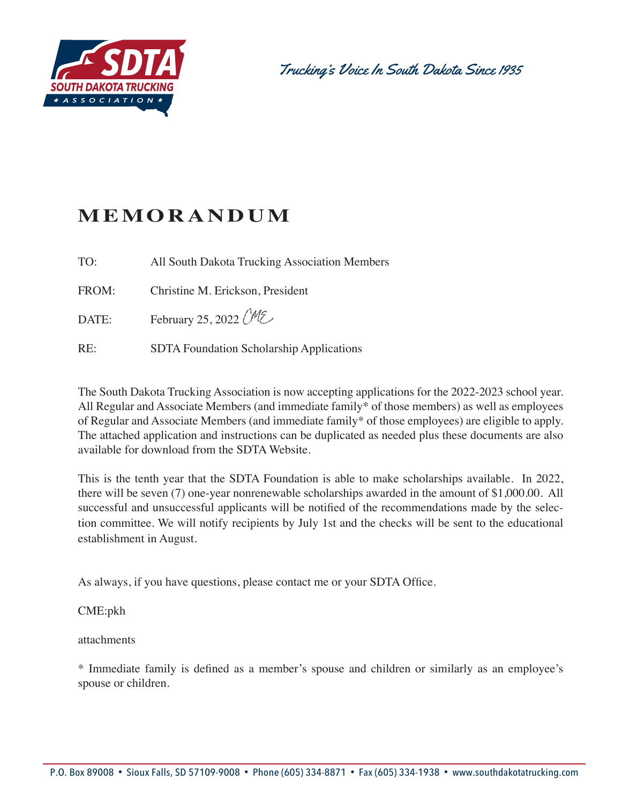

Trucking's Voice In South Dakota Since 1935

# **MEMORANDUM**

TO: All South Dakota Trucking Association Members

FROM: Christine M. Erickson, President

DATE: February 25, 2022  $CME$ 

RE: SDTA Foundation Scholarship Applications

The South Dakota Trucking Association is now accepting applications for the 2022-2023 school year. All Regular and Associate Members (and immediate family\* of those members) as well as employees of Regular and Associate Members (and immediate family\* of those employees) are eligible to apply. The attached application and instructions can be duplicated as needed plus these documents are also available for download from the SDTA Website.

This is the tenth year that the SDTA Foundation is able to make scholarships available. In 2022, there will be seven (7) one-year nonrenewable scholarships awarded in the amount of \$1,000.00. All successful and unsuccessful applicants will be notified of the recommendations made by the selection committee. We will notify recipients by July 1st and the checks will be sent to the educational establishment in August.

As always, if you have questions, please contact me or your SDTA Office.

#### CME:pkh

attachments

\* Immediate family is defined as a member's spouse and children or similarly as an employee's spouse or children.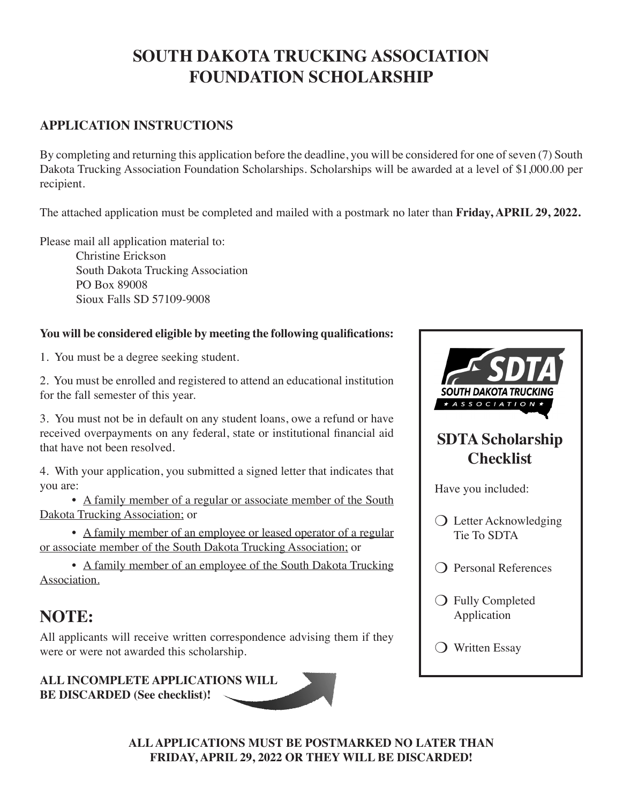## **SOUTH DAKOTA TRUCKING ASSOCIATION FOUNDATION SCHOLARSHIP**

### **APPLICATION INSTRUCTIONS**

By completing and returning this application before the deadline, you will be considered for one of seven (7) South Dakota Trucking Association Foundation Scholarships. Scholarships will be awarded at a level of \$1,000.00 per recipient.

The attached application must be completed and mailed with a postmark no later than **Friday, APRIL 29, 2022.** 

Please mail all application material to:

Christine Erickson South Dakota Trucking Association PO Box 89008 Sioux Falls SD 57109-9008

### **You will be considered eligible by meeting the following qualifications:**

1. You must be a degree seeking student.

2. You must be enrolled and registered to attend an educational institution for the fall semester of this year.

3. You must not be in default on any student loans, owe a refund or have received overpayments on any federal, state or institutional financial aid that have not been resolved.

4. With your application, you submitted a signed letter that indicates that you are:

• A family member of a regular or associate member of the South Dakota Trucking Association; or

 • A family member of an employee or leased operator of a regular or associate member of the South Dakota Trucking Association; or

• A family member of an employee of the South Dakota Trucking Association.

## **NOTE:**

All applicants will receive written correspondence advising them if they were or were not awarded this scholarship.

**ALL INCOMPLETE APPLICATIONS WILL BE DISCARDED (See checklist)!**



**ALL APPLICATIONS MUST BE POSTMARKED NO LATER THAN FRIDAY, APRIL 29, 2022 OR THEY WILL BE DISCARDED!**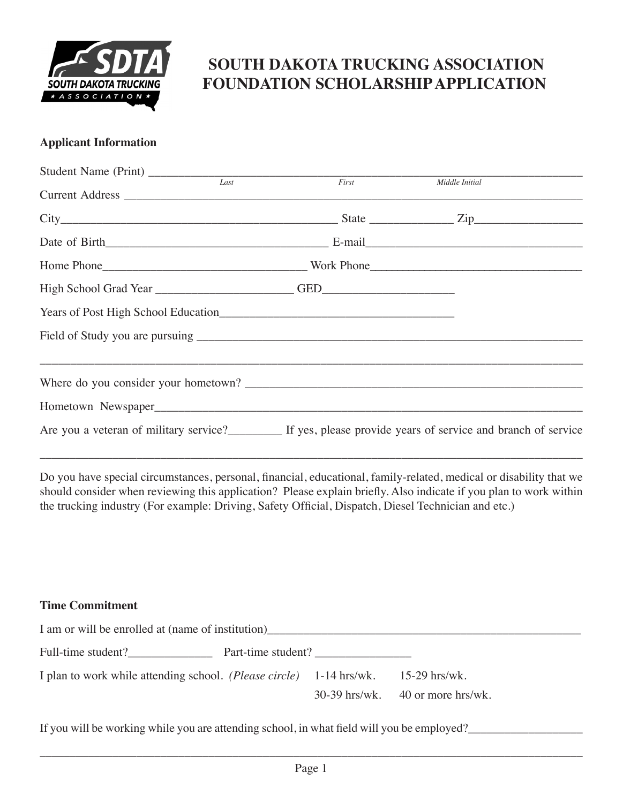

## **SOUTH DAKOTA TRUCKING ASSOCIATION FOUNDATION SCHOLARSHIP APPLICATION**

#### **Applicant Information**

| Student Name (Print) Last First Finance Middle Initial |  |                                                                                                         |
|--------------------------------------------------------|--|---------------------------------------------------------------------------------------------------------|
|                                                        |  |                                                                                                         |
|                                                        |  |                                                                                                         |
|                                                        |  |                                                                                                         |
|                                                        |  |                                                                                                         |
|                                                        |  |                                                                                                         |
|                                                        |  |                                                                                                         |
|                                                        |  |                                                                                                         |
|                                                        |  | <u>,这个人都是不是一个人的人,我们就是一个人的人,我们就是一个人的人,我们就是一个人的人,我们就是一个人的人,我们就是一个人的人,我们就是一个人的人,</u>                       |
|                                                        |  |                                                                                                         |
|                                                        |  |                                                                                                         |
|                                                        |  | Are you a veteran of military service?<br>If yes, please provide years of service and branch of service |

Do you have special circumstances, personal, financial, educational, family-related, medical or disability that we should consider when reviewing this application? Please explain briefly. Also indicate if you plan to work within the trucking industry (For example: Driving, Safety Official, Dispatch, Diesel Technician and etc.)

\_\_\_\_\_\_\_\_\_\_\_\_\_\_\_\_\_\_\_\_\_\_\_\_\_\_\_\_\_\_\_\_\_\_\_\_\_\_\_\_\_\_\_\_\_\_\_\_\_\_\_\_\_\_\_\_\_\_\_\_\_\_\_\_\_\_\_\_\_\_\_\_\_\_\_\_\_\_\_\_\_\_\_\_\_\_\_\_\_\_

#### **Time Commitment**

| I am or will be enrolled at (name of institution)                                          |  |  |                                      |  |  |  |
|--------------------------------------------------------------------------------------------|--|--|--------------------------------------|--|--|--|
| Full-time student?                                                                         |  |  |                                      |  |  |  |
| I plan to work while attending school. ( <i>Please circle</i> ) 1-14 hrs/wk. 15-29 hrs/wk. |  |  | $30-39$ hrs/wk. $40$ or more hrs/wk. |  |  |  |

If you will be working while you are attending school, in what field will you be employed?\_\_\_\_\_\_\_\_\_\_\_\_\_\_\_\_\_\_\_\_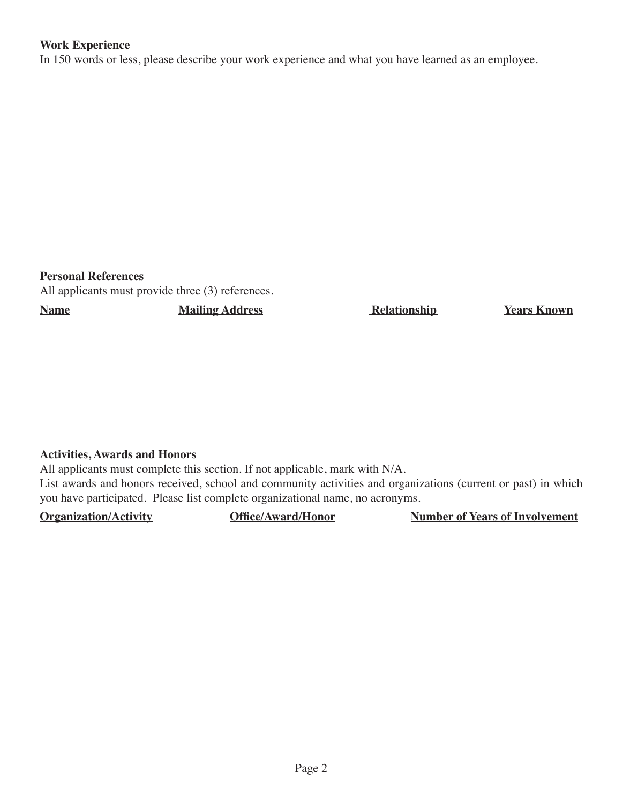#### **Work Experience**

In 150 words or less, please describe your work experience and what you have learned as an employee.

**Personal References**

All applicants must provide three (3) references.

**Name** Mailing Address Relationship Years Known

#### **Activities, Awards and Honors**

All applicants must complete this section. If not applicable, mark with N/A. List awards and honors received, school and community activities and organizations (current or past) in which you have participated. Please list complete organizational name, no acronyms.

**Organization/Activity 1996 Office/Award/Honor Number of Years of Involvement**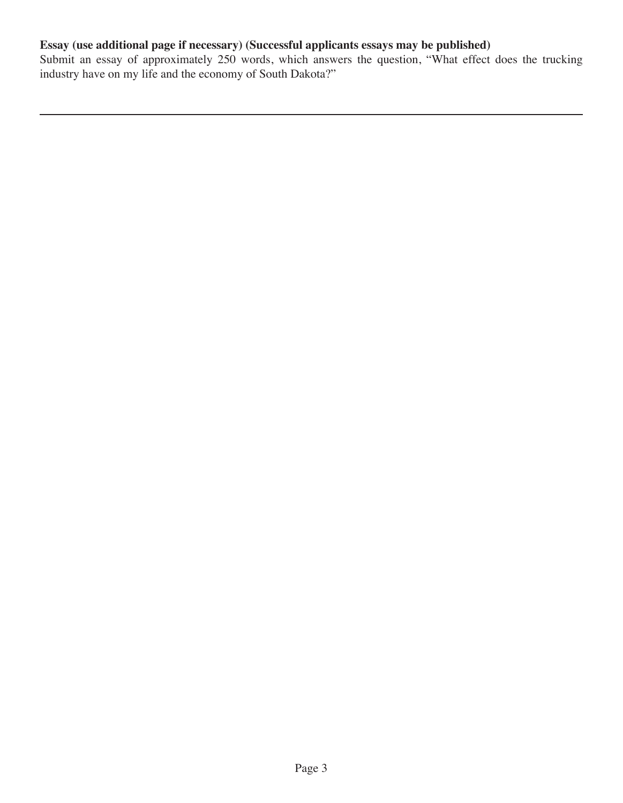### **Essay (use additional page if necessary) (Successful applicants essays may be published)**

Submit an essay of approximately 250 words, which answers the question, "What effect does the trucking industry have on my life and the economy of South Dakota?"